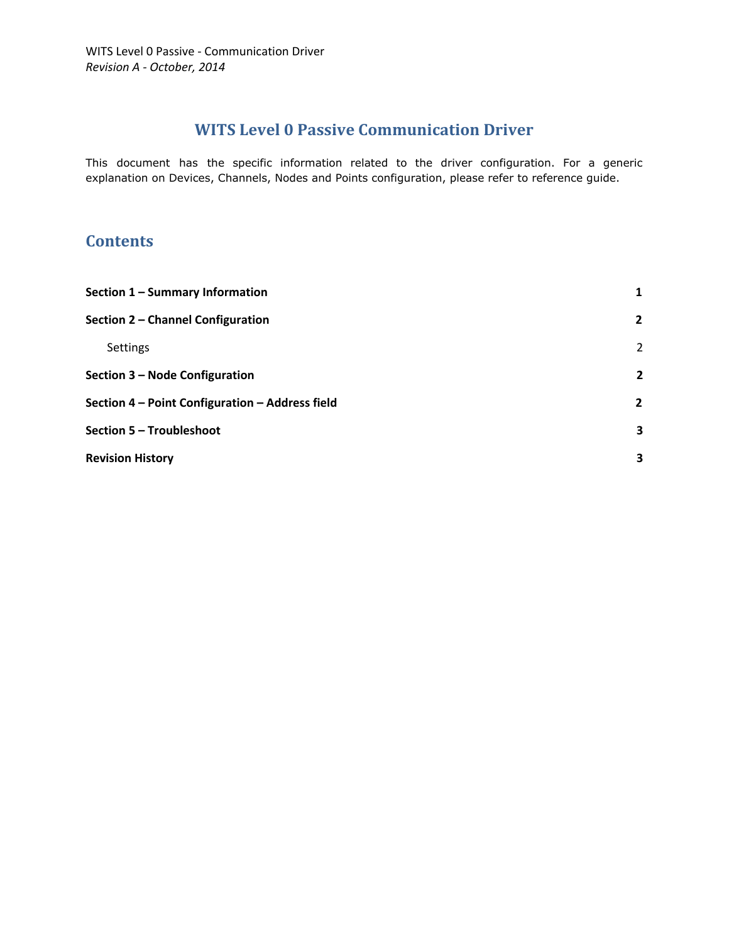# **WITS Level 0 Passive Communication Driver**

This document has the specific information related to the driver configuration. For a generic explanation on Devices, Channels, Nodes and Points configuration, please refer to reference guide.

## **Contents**

<span id="page-0-0"></span>

| Section 1 - Summary Information                 | $\mathbf{1}$   |
|-------------------------------------------------|----------------|
| Section 2 - Channel Configuration               | $\mathbf{2}$   |
| <b>Settings</b>                                 | 2              |
| Section 3 – Node Configuration                  | $\overline{2}$ |
| Section 4 - Point Configuration - Address field | $\overline{2}$ |
| Section 5 - Troubleshoot                        | 3              |
| <b>Revision History</b>                         | 3              |
|                                                 |                |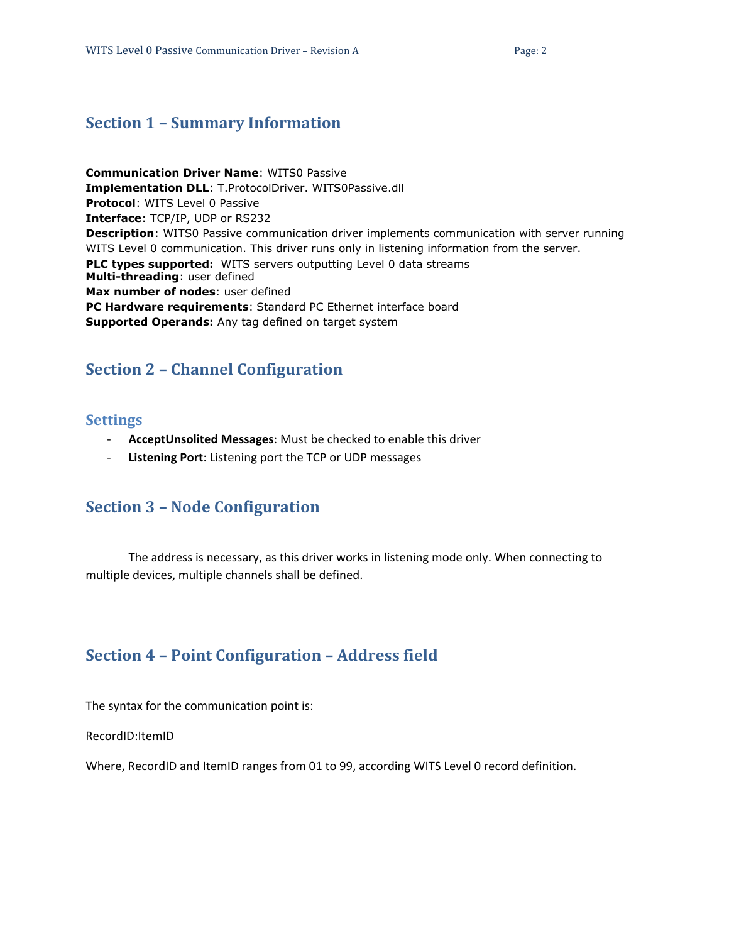### **Section 1 – Summary Information**

**Communication Driver Name**: WITS0 Passive **Implementation DLL**: T.ProtocolDriver. WITS0Passive.dll **Protocol**: WITS Level 0 Passive **Interface**: TCP/IP, UDP or RS232 **Description**: WITS0 Passive communication driver implements communication with server running WITS Level 0 communication. This driver runs only in listening information from the server. **PLC types supported:** WITS servers outputting Level 0 data streams **Multi-threading**: user defined **Max number of nodes**: user defined **PC Hardware requirements**: Standard PC Ethernet interface board **Supported Operands:** Any tag defined on target system

## <span id="page-1-0"></span>**Section 2 – Channel Configuration**

#### <span id="page-1-1"></span>**Settings**

- **AcceptUnsolited Messages**: Must be checked to enable this driver
- **Listening Port**: Listening port the TCP or UDP messages

### <span id="page-1-2"></span>**Section 3 – Node Configuration**

The address is necessary, as this driver works in listening mode only. When connecting to multiple devices, multiple channels shall be defined.

### <span id="page-1-3"></span>**Section 4 – Point Configuration – Address field**

The syntax for the communication point is:

RecordID:ItemID

Where, RecordID and ItemID ranges from 01 to 99, according WITS Level 0 record definition.